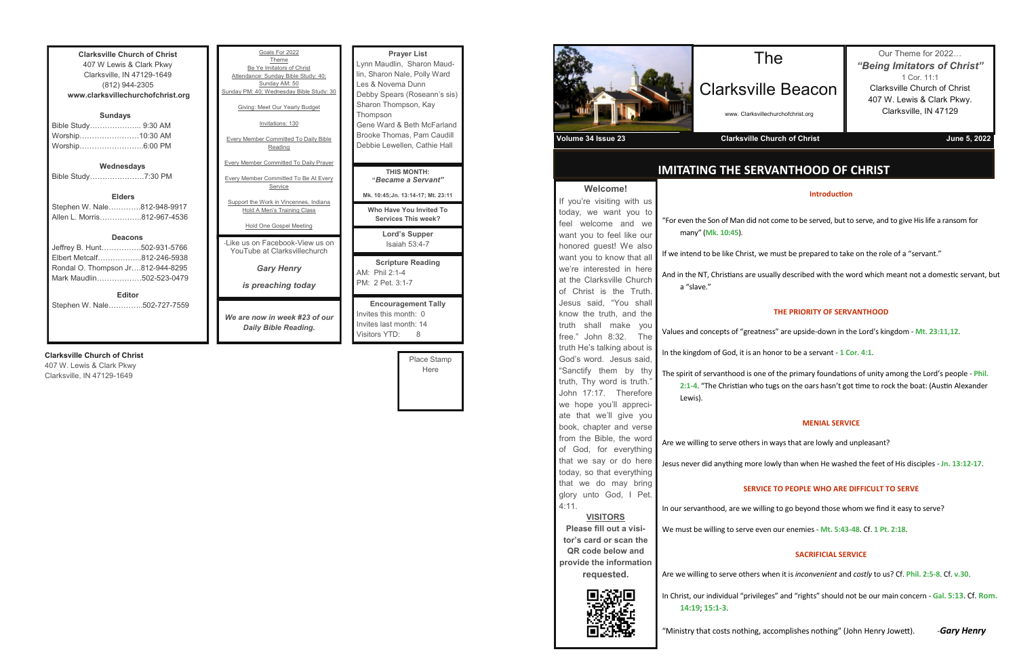| <b>Clarksville Church of Christ</b> |  |  |
|-------------------------------------|--|--|
| 407 W Lewis & Clark Pkwy            |  |  |
| Clarksville, IN 47129-1649          |  |  |
| (812) 944-2305                      |  |  |
| www.clarksvillechurchofchrist.org   |  |  |
|                                     |  |  |
| <b>Sundays</b>                      |  |  |
| Bible Study 9:30 AM                 |  |  |
| Worship10:30 AM                     |  |  |
| Worship6:00 PM                      |  |  |
|                                     |  |  |
| Wednesdays                          |  |  |
| Bible Study7:30 PM                  |  |  |
|                                     |  |  |
| <b>Elders</b>                       |  |  |
| Stephen W. Nale812-948-9917         |  |  |
| Allen L. Morris812-967-4536         |  |  |
|                                     |  |  |
| <b>Deacons</b>                      |  |  |
| Jeffrey B. Hunt502-931-5766         |  |  |
| Elbert Metcalf812-246-5938          |  |  |
|                                     |  |  |
| Rondal O. Thompson Jr812-944-8295   |  |  |
| Mark Maudlin502-523-0479            |  |  |
| <b>Editor</b>                       |  |  |
| Stephen W. Nale<br>502-727-7559     |  |  |

### **Clarksville Church of Christ**

407 W. Lewis & Clark Pkwy Clarksville, IN 47129-1649

| Goals For 2022<br>Theme<br>Be Ye Imitators of Christ<br>Attendance: Sunday Bible Study: 40;<br>Sunday AM: 50<br>Sunday PM: 40; Wednesday Bible Study: 30<br>Giving: Meet Our Yearly Budget<br>Invitations: 130<br><b>Every Member Committed To Daily Bible</b><br>Reading | <b>Prayer List</b><br>Lynn Maudlin, Sharon Maud-<br>lin, Sharon Nale, Polly Ward<br>Les & Novema Dunn<br>Debby Spears (Roseann's sis)<br>Sharon Thompson, Kay<br>Thompson<br>Gene Ward & Beth McFarland<br>Brooke Thomas, Pam Caudill<br>Debbie Lewellen, Cathie Hall |
|---------------------------------------------------------------------------------------------------------------------------------------------------------------------------------------------------------------------------------------------------------------------------|-----------------------------------------------------------------------------------------------------------------------------------------------------------------------------------------------------------------------------------------------------------------------|
| <b>Every Member Committed To Daily Prayer</b><br><b>Every Member Committed To Be At Every</b><br>Service                                                                                                                                                                  | THIS MONTH:<br>"Became a Servant"<br>Mk. 10:45; Jn. 13:14-17; Mt. 23:11                                                                                                                                                                                               |
| Support the Work in Vincennes, Indiana<br>Hold A Men's Training Class<br><b>Hold One Gospel Meeting</b>                                                                                                                                                                   | Who Have You Invited To<br><b>Services This week?</b>                                                                                                                                                                                                                 |
| - like us on Facebook-View us on<br>YouTube at Clarksvillechurch                                                                                                                                                                                                          | Lord's Supper<br>Isaiah 53:4-7                                                                                                                                                                                                                                        |
| <b>Gary Henry</b><br><i>is preaching today</i>                                                                                                                                                                                                                            | <b>Scripture Reading</b><br>AM: Phil 2:1-4<br>PM: 2 Pet. 3:1-7                                                                                                                                                                                                        |
| We are now in week #23 of our<br>Daily Bible Reading.                                                                                                                                                                                                                     | <b>Encouragement Tally</b><br>Invites this month: 0<br>Invites last month: 14<br>Visitors YTD:<br>8                                                                                                                                                                   |

Place Stamp Here



**Welcome!**

## **IMITATING THE SERVANTHOOD OF CHRIST**

## The

## Clarksville Beacon

www. Clarksvillechurchofchrist.org

### **Volume 34 Issue 23** Clarksville Church of Christ **Volume 34 Issue 23** June 5, 2022

Our Theme for 2022… *"Being Imitators of Christ"* 1 Cor. 11:1 Clarksville Church of Christ 407 W. Lewis & Clark Pkwy. Clarksville, IN 47129

### **Introduction**

id not come to be served, but to serve, and to give His life a ransom for

t, we must be prepared to take on the role of a "servant."

e usually described with the word which meant not a domestic servant, but

| Welcome!                    |                                 |
|-----------------------------|---------------------------------|
| If you're visiting with us  |                                 |
| today, we want you to       |                                 |
| feel welcome and we         | "For even the Son of Man did    |
| want you to feel like our   | many" (Mk. 10:45).              |
| honored guest! We also      |                                 |
| want you to know that all   | If we intend to be like Christ  |
| we're interested in here    | And in the NT, Christians are   |
| at the Clarksville Church   | a "slave."                      |
| of Christ is the Truth.     |                                 |
| Jesus said, "You shall      |                                 |
| know the truth, and the     |                                 |
| truth shall make<br>you     | Values and concepts of "gre     |
| free." John 8:32. The       |                                 |
| truth He's talking about is | In the kingdom of God, it is a  |
| God's word. Jesus said,     |                                 |
| "Sanctify them by thy       | The spirit of servanthood is    |
| truth, Thy word is truth."  | 2:1-4. "The Christian w         |
| John 17:17. Therefore       | Lewis).                         |
| we hope you'll appreci-     |                                 |
| ate that we'll give you     |                                 |
| book, chapter and verse     |                                 |
| from the Bible, the word    | Are we willing to serve othe    |
| of God, for everything      |                                 |
| that we say or do here      | Jesus never did anything mo     |
| today, so that everything   |                                 |
| that we do may bring        | <b>SEF</b>                      |
| glory unto God, I Pet.      |                                 |
| 4:11.                       | In our servanthood, are we      |
| <b>VISITORS</b>             |                                 |
| Please fill out a visi-     | We must be willing to serve     |
| tor's card or scan the      |                                 |
| QR code below and           |                                 |
| provide the information     |                                 |
| requested.                  | Are we willing to serve othe    |
|                             | In Christ, our individual "priv |
|                             | 14:19; 15:1-3.                  |



### **THE PRIORITY OF SERVANTHOOD**

eatness" are upside-down in the Lord's kingdom - Mt. 23:11,12.

an honor to be a servant - 1 Cor. 4:1.

one of the primary foundations of unity among the Lord's people - Phil. who tugs on the oars hasn't got time to rock the boat: (Austin Alexander

### **MENIAL SERVICE**

ers in ways that are lowly and unpleasant?

ore lowly than when He washed the feet of His disciples - **Jn. 13:12-17**.

### **RVICE TO PEOPLE WHO ARE DIFFICULT TO SERVE**

willing to go beyond those whom we find it easy to serve?

We must be willing to serve even our enemies - **Mt. 5:43-48**. Cf. **1 Pt. 2:18**.

### **SACRIFICIAL SERVICE**

Are when it is *inconvenient* and *costly* to us? Cf. **Phil. 2:5-8**. Cf. **v.30**.

vileges" and "rights" should not be our main concern - Gal. **5:13**. Cf. Rom.

"Ministry that costs nothing, accomplishes nothing" (John Henry Jowett). -*Gary Henry*